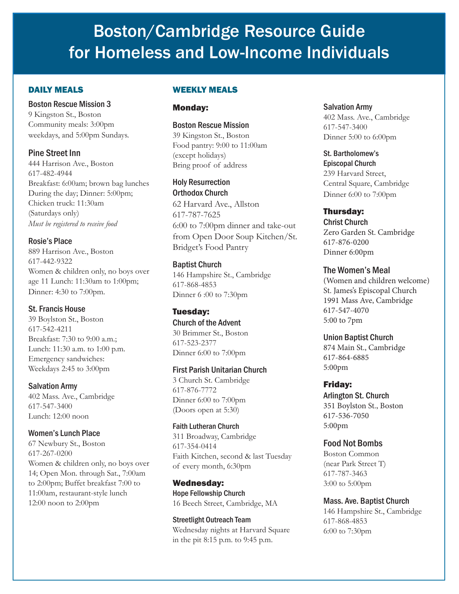# Boston/Cambridge Resource Guide for Homeless and Low-Income Individuals

# DAILY MEALS

#### Boston Rescue Mission 3

9 Kingston St., Boston Community meals: 3:00pm weekdays, and 5:00pm Sundays.

# Pine Street Inn

444 Harrison Ave., Boston 617-482-4944 Breakfast: 6:00am; brown bag lunches During the day; Dinner: 5:00pm; Chicken truck: 11:30am (Saturdays only) *Must be registered to receive food*

Rosie's Place 889 Harrison Ave., Boston 617-442-9322 Women & children only, no boys over age 11 Lunch: 11:30am to 1:00pm;

#### St. Francis House

Dinner: 4:30 to 7:00pm.

39 Boylston St., Boston 617-542-4211 Breakfast: 7:30 to 9:00 a.m.; Lunch: 11:30 a.m. to 1:00 p.m. Emergency sandwiches: Weekdays 2:45 to 3:00pm

#### Salvation Army

402 Mass. Ave., Cambridge 617-547-3400 Lunch: 12:00 noon

#### Women's Lunch Place

67 Newbury St., Boston 617-267-0200 Women & children only, no boys over 14; Open Mon. through Sat., 7:00am to 2:00pm; Buffet breakfast 7:00 to 11:00am, restaurant-style lunch 12:00 noon to 2:00pm

#### WEEKLY MEALS

#### Monday:

Boston Rescue Mission 39 Kingston St., Boston Food pantry: 9:00 to 11:00am (except holidays) Bring proof of address

Holy Resurrection Orthodox Church

62 Harvard Ave., Allston 617-787-7625 6:00 to 7:00pm dinner and take-out from Open Door Soup Kitchen/St. Bridget's Food Pantry

Baptist Church 146 Hampshire St., Cambridge 617-868-4853 Dinner 6 :00 to 7:30pm

# Tuesday:

Church of the Advent 30 Brimmer St., Boston 617-523-2377 Dinner 6:00 to 7:00pm

#### First Parish Unitarian Church

3 Church St. Cambridge 617-876-7772 Dinner 6:00 to 7:00pm (Doors open at 5:30)

#### Faith Lutheran Church

311 Broadway, Cambridge 617-354-0414 Faith Kitchen, second & last Tuesday of every month, 6:30pm

Wednesday: Hope Fellowship Church 16 Beech Street, Cambridge, MA

Streetlight Outreach Team Wednesday nights at Harvard Square in the pit 8:15 p.m. to 9:45 p.m.

#### Salvation Army

402 Mass. Ave., Cambridge 617-547-3400 Dinner 5:00 to 6:00pm

St. Bartholomew's Episcopal Church 239 Harvard Street, Central Square, Cambridge Dinner 6:00 to 7:00pm

Thursday: Christ Church Zero Garden St. Cambridge 617-876-0200 Dinner 6:00pm

# The Women's Meal

(Women and children welcome) St. James's Episcopal Church 1991 Mass Ave, Cambridge 617-547-4070 5:00 to 7pm

Union Baptist Church 874 Main St., Cambridge 617-864-6885 5:00pm

Friday: Arlington St. Church

351 Boylston St., Boston 617-536-7050 5:00pm

# Food Not Bombs

Boston Common (near Park Street T) 617-787-3463 3:00 to 5:00pm

#### Mass. Ave. Baptist Church

146 Hampshire St., Cambridge 617-868-4853 6:00 to 7:30pm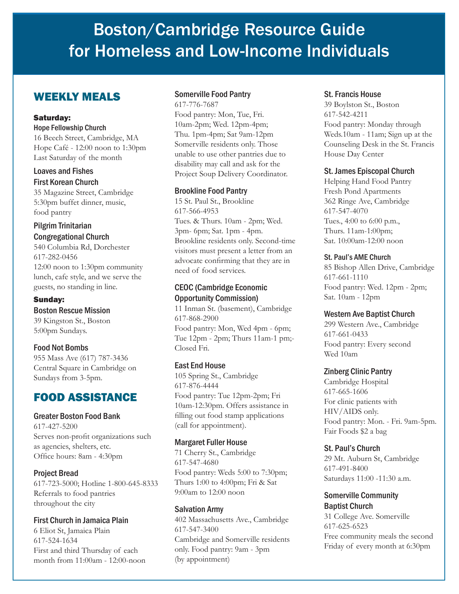# Boston/Cambridge Resource Guide for Homeless and Low-Income Individuals

# WEEKLY MEALS

#### Saturday:

#### Hope Fellowship Church

16 Beech Street, Cambridge, MA Hope Café - 12:00 noon to 1:30pm Last Saturday of the month

#### Loaves and Fishes First Korean Church

35 Magazine Street, Cambridge 5:30pm buffet dinner, music, food pantry

# Pilgrim Trinitarian Congregational Church

540 Columbia Rd, Dorchester 617-282-0456 12:00 noon to 1:30pm community lunch, cafe style, and we serve the guests, no standing in line.

#### Sunday:

# Boston Rescue Mission

39 Kingston St., Boston 5:00pm Sundays.

# Food Not Bombs

955 Mass Ave (617) 787-3436 Central Square in Cambridge on Sundays from 3-5pm.

# FOOD ASSISTANCE

#### Greater Boston Food Bank

617-427-5200 Serves non-profit organizations such as agencies, shelters, etc. Office hours: 8am - 4:30pm

# Project Bread

617-723-5000; Hotline 1-800-645-8333 Referrals to food pantries throughout the city

# First Church in Jamaica Plain

6 Eliot St, Jamaica Plain 617-524-1634 First and third Thursday of each month from 11:00am - 12:00-noon

#### Somerville Food Pantry

617-776-7687

Food pantry: Mon, Tue, Fri. 10am-2pm; Wed. 12pm-4pm; Thu. 1pm-4pm; Sat 9am-12pm Somerville residents only. Those unable to use other pantries due to disability may call and ask for the Project Soup Delivery Coordinator.

# Brookline Food Pantry

15 St. Paul St., Brookline 617-566-4953 Tues. & Thurs. 10am - 2pm; Wed. 3pm- 6pm; Sat. 1pm - 4pm. Brookline residents only. Second-time visitors must present a letter from an advocate confirming that they are in need of food services.

# CEOC (Cambridge Economic Opportunity Commission)

11 Inman St. (basement), Cambridge 617-868-2900 Food pantry: Mon, Wed 4pm - 6pm; Tue 12pm - 2pm; Thurs 11am-1 pm;- Closed Fri.

# East End House

105 Spring St., Cambridge 617-876-4444 Food pantry: Tue 12pm-2pm; Fri 10am-12:30pm. Offers assistance in filling out food stamp applications (call for appointment).

# Margaret Fuller House

71 Cherry St., Cambridge 617-547-4680 Food pantry: Weds 5:00 to 7:30pm; Thurs 1:00 to 4:00pm; Fri & Sat 9:00am to 12:00 noon

#### Salvation Army

402 Massachusetts Ave., Cambridge 617-547-3400 Cambridge and Somerville residents only. Food pantry: 9am - 3pm (by appointment)

#### St. Francis House

39 Boylston St., Boston 617-542-4211 Food pantry: Monday through Weds.10am - 11am; Sign up at the Counseling Desk in the St. Francis House Day Center

# St. James Episcopal Church

Helping Hand Food Pantry Fresh Pond Apartments 362 Ringe Ave, Cambridge 617-547-4070 Tues., 4:00 to 6:00 p.m., Thurs. 11am-1:00pm; Sat. 10:00am-12:00 noon

#### St. Paul's AME Church

85 Bishop Allen Drive, Cambridge 617-661-1110 Food pantry: Wed. 12pm - 2pm; Sat. 10am - 12pm

# Western Ave Baptist Church

299 Western Ave., Cambridge 617-661-0433 Food pantry: Every second Wed 10am

#### Zinberg Clinic Pantry

Cambridge Hospital 617-665-1606 For clinic patients with HIV/AIDS only. Food pantry: Mon. - Fri. 9am-5pm. Fair Foods \$2 a bag

# St. Paul's Church

29 Mt. Auburn St, Cambridge 617-491-8400 Saturdays 11:00 -11:30 a.m.

#### Somerville Community Baptist Church

31 College Ave. Somerville 617-625-6523 Free community meals the second Friday of every month at 6:30pm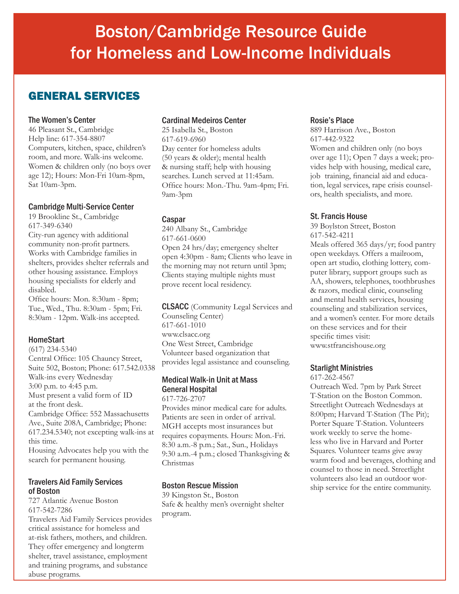# GENERAL SERVICES

#### The Women's Center

46 Pleasant St., Cambridge Help line: 617-354-8807 Computers, kitchen, space, children's room, and more. Walk-ins welcome. Women & children only (no boys over age 12); Hours: Mon-Fri 10am-8pm, Sat 10am-3pm.

#### Cambridge Multi-Service Center

19 Brookline St., Cambridge 617-349-6340 City-run agency with additional community non-profit partners. Works with Cambridge families in shelters, provides shelter referrals and other housing assistance. Employs housing specialists for elderly and disabled.

Office hours: Mon. 8:30am - 8pm; Tue., Wed., Thu. 8:30am - 5pm; Fri. 8:30am - 12pm. Walk-ins accepted.

# HomeStart

(617) 234-5340 Central Office: 105 Chauncy Street, Suite 502, Boston; Phone: 617.542.0338 Walk-ins every Wednesday 3:00 p.m. to 4:45 p.m. Must present a valid form of ID at the front desk. Cambridge Office: 552 Massachusetts Ave., Suite 208A, Cambridge; Phone: 617.234.5340; not excepting walk-ins at this time.

Housing Advocates help you with the search for permanent housing.

#### Travelers Aid Family Services of Boston

727 Atlantic Avenue Boston 617-542-7286

Travelers Aid Family Services provides critical assistance for homeless and at-risk fathers, mothers, and children. They offer emergency and longterm shelter, travel assistance, employment and training programs, and substance abuse programs.

# Cardinal Medeiros Center

25 Isabella St., Boston 617-619-6960 Day center for homeless adults (50 years & older); mental health & nursing staff; help with housing searches. Lunch served at 11:45am. Office hours: Mon.-Thu. 9am-4pm; Fri. 9am-3pm

# Caspar

240 Albany St., Cambridge 617-661-0600 Open 24 hrs/day; emergency shelter open 4:30pm - 8am; Clients who leave in the morning may not return until 3pm; Clients staying multiple nights must prove recent local residency.

CLSACC (Community Legal Services and Counseling Center) 617-661-1010 www.clsacc.org One West Street, Cambridge Volunteer based organization that provides legal assistance and counseling.

#### Medical Walk-in Unit at Mass General Hospital

617-726-2707

Provides minor medical care for adults. Patients are seen in order of arrival. MGH accepts most insurances but requires copayments. Hours: Mon.-Fri. 8:30 a.m.-8 p.m.; Sat., Sun., Holidays 9:30 a.m.-4 p.m.; closed Thanksgiving & Christmas

# Boston Rescue Mission

39 Kingston St., Boston Safe & healthy men's overnight shelter program.

#### Rosie's Place

889 Harrison Ave., Boston 617-442-9322 Women and children only (no boys over age 11); Open 7 days a week; provides help with housing, medical care, job training, financial aid and education, legal services, rape crisis counselors, health specialists, and more.

# St. Francis House

39 Boylston Street, Boston 617-542-4211 Meals offered 365 days/yr; food pantry open weekdays. Offers a mailroom, open art studio, clothing lottery, computer library, support groups such as AA, showers, telephones, toothbrushes & razors, medical clinic, counseling and mental health services, housing counseling and stabilization services, and a women's center. For more details on these services and for their specific times visit: www.stfrancishouse.org

#### Starlight Ministries

617-262-4567

Outreach Wed. 7pm by Park Street T-Station on the Boston Common. Streetlight Outreach Wednesdays at 8:00pm; Harvard T-Station (The Pit); Porter Square T-Station. Volunteers work weekly to serve the homeless who live in Harvard and Porter Squares. Volunteer teams give away warm food and beverages, clothing and counsel to those in need. Streetlight volunteers also lead an outdoor worship service for the entire community.